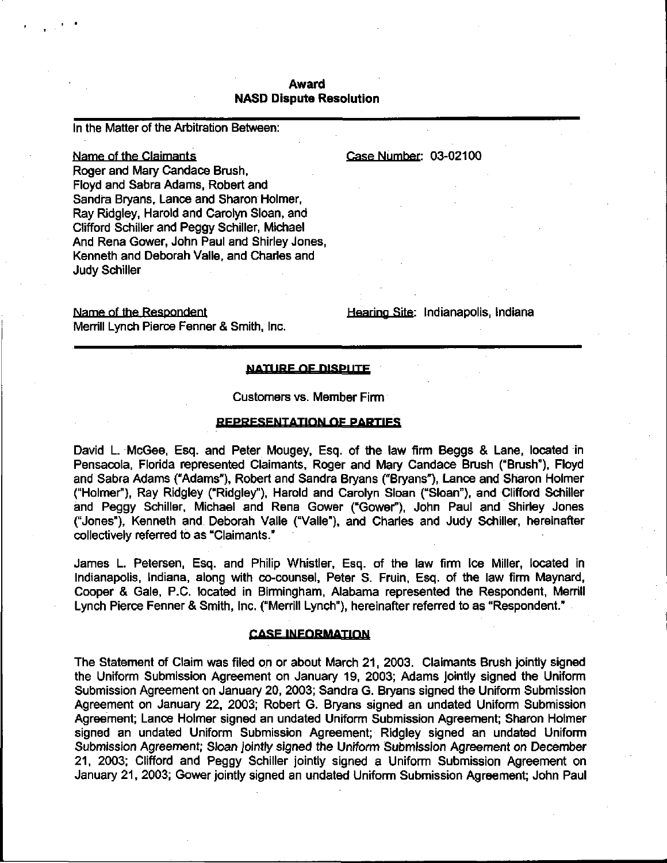# Award NASD Dispute Resolution

In the Matter of the Arbitration Between:

# Name of the Claimants **Case Number: 03-02100**

Roger and Mary Candace Brush, Floyd and Sabra Adams, Robert and Sandra Bryans, Lance and Sharon Holmer, Ray Ridgley, Harold and Carolyn Sloan, and Clifford Schiller and Peggy Schiller, Michael And Rena Gower, John Paul and Shirley Jones, Kenneth and Deborah Valle, and Charles and Judy Schiller

Name of the Respondent Name of the Respondent Hearing Site: Indianapolis, Indiana Merrill Lynch Pierce Fenner & Smith, Inc.

#### NATURE OF DISPITE

#### Customers vs. Member Firm

#### REPRESENTATION OF PARTIES

David L. McGee, Esq. and Peter Mougey, Esq. of the law firm Beggs & Lane, located in Pensacola, Florida represented Claimants, Roger and Mary Candace Brush ("Brush"), Floyd and Sabra Adams ("Adams"), Robert and Sandra Bryans ("Bryans"), Lance and Sharon Holmer ("Holmer"), Ray Ridgley ("Ridgley"), Harold and Carolyn Sloan ("Sloan"), and Clifford Schiller and Peggy Schiller, Michael and Rena Gower ("Gower"), John Paul and Shirley Jones ("Jones"), Kenneth and Deborah Valle ("Valle"), and Charles and Judy Schiller, hereinafter collectively referred to as "Claimants."

James L. Petersen, Esq. and Philip Whistler, Esq. of the law firm Ice Miller, located in Indianapolis, Indiana, along with co-counsel, Peter S. Fruin, Esq. of the law firm Maynard, Cooper & Gale, P.C. located in Birmingham, Alabama represented the Respondent, Merrill Lynch Pierce Fenner & Smith, Inc. ("Merrill Lynch"), hereinafter referred to as "Respondent."

#### **CASE INFORMATION**

The Statement of Claim was filed on or about March 21, 2003. Claimants Brush jointly signed the Uniform Submission Agreement on January 19, 2003; Adams jointly signed the Uniform Submission Agreement on January 20, 2003; Sandra G. Bryans signed the Uniform Submission Agreement on January 22, 2003; Robert G. Bryans signed an undated Uniform Submission Agreement; Lance Holmer signed an undated Uniform Submission Agreement; Sharon Holmer signed an undated Uniform Submission Agreement; Ridgley signed an undated Uniform Submission Agreement; Sloan jointly signed the Uniform Submission Agreement on December 21, 2003; Clifford and Peggy Schiller jointly signed a Uniform Submission Agreement on January 21, 2003; Gower jointly signed an undated Uniform Submission Agreement; John Paul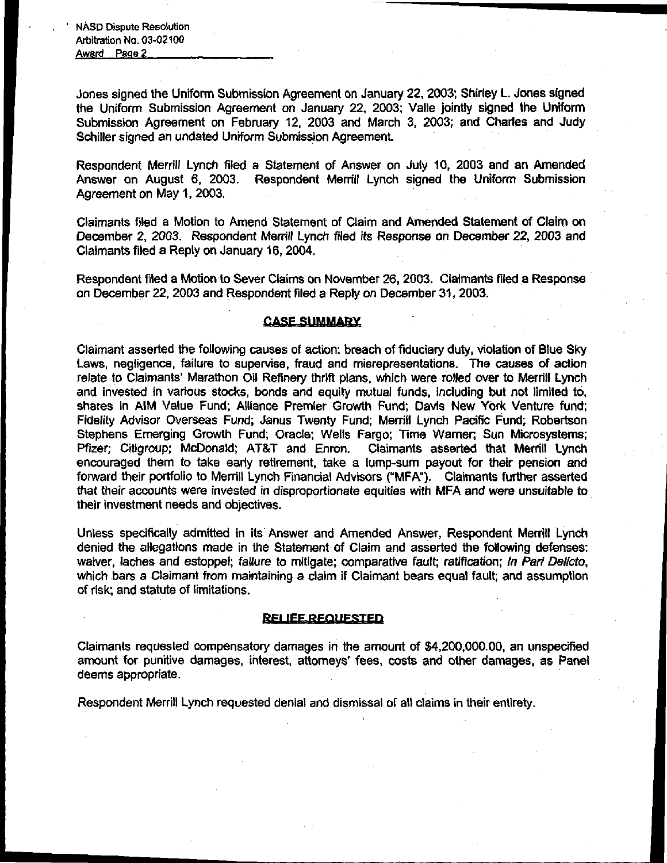Jones signed the Uniform Submission Agreement on January 22, 2003; Shirley L. Jones signed the Uniform Submission Agreement on January 22, 2003; Valle jointly signed the Uniform Submission Agreement on February 12, 2003 and March 3, 2003; and Charles and Judy Schiller signed an undated Uniform Submission Agreement.

Respondent Merrill Lynch filed a Statement of Answer on July 10, 2003 and an Amended Answer on August 6, 2003. Respondent Merrill Lynch signed the Uniform Submission Agreement on May 1, 2003.

Claimants filed a Motion to Amend Statement of Claim and Amended Statement of Claim on December 2, 2003. Respondent Merrill Lynch filed its Response on December 22, 2003 and Claimants filed a Reply on January 16, 2004.

Respondent filed a Motion to Sever Claims on November 26, 2003. Claimants filed a Response on December 22, 2003 and Respondent filed a Reply on December 31, 2003.

## **CASE SUMMARY**

Claimant asserted the following causes of action: breach of fiduciary duty, violation of Blue Sky Laws, negligence, failure to supervise, fraud and misrepresentations. The causes of action relate to Claimants' Marathon Oil Refinery thrift plans, which were rolled over to Merrill Lynch and invested in various stocks, bonds and equity mutual funds, including but not limited to, shares in AIM Value Fund; Alliance Premier Growth Fund; Davis New York Venture fund; Fidelity Advisor Overseas Fund; Janus Twenty Fund; Merrill Lynch Pacific Fund; Robertson Stephens Emerging Growth Fund; Oracle; Wells Fargo; Time Warner; Sun Microsystems; Pfizer; Citigroup; McDonald; AT&T and Enron. Claimants asserted that Merrill Lynch encouraged them to take early retirement, take a lump-sum payout for their pension and forward their portfolio to Merrill Lynch Financial Advisors ("MFA"). Claimants further asserted that their accounts were invested in disproportionate equities with MFA and were unsuitable to their investment needs and objectives.

Unless specifically admitted in its Answer and Amended Answer, Respondent Merrill Lynch denied the allegations made in the Statement of Claim and asserted the following defenses: waiver, laches and estoppel; failure to mitigate; comparative fault; ratification; In Pari Delicto, which bars a Claimant from maintaining a claim if Claimant bears equal fault; and assumption of risk; and statute of limitations.

#### RELIEE REQUESTED

Claimants requested compensatory damages in the amount of \$4,200,000.00, an unspecified amount for punitive damages, interest, attorneys' fees, costs and other damages, as Panel deems appropriate.

Respondent Merrill Lynch requested denial and dismissal of all claims in their entirety.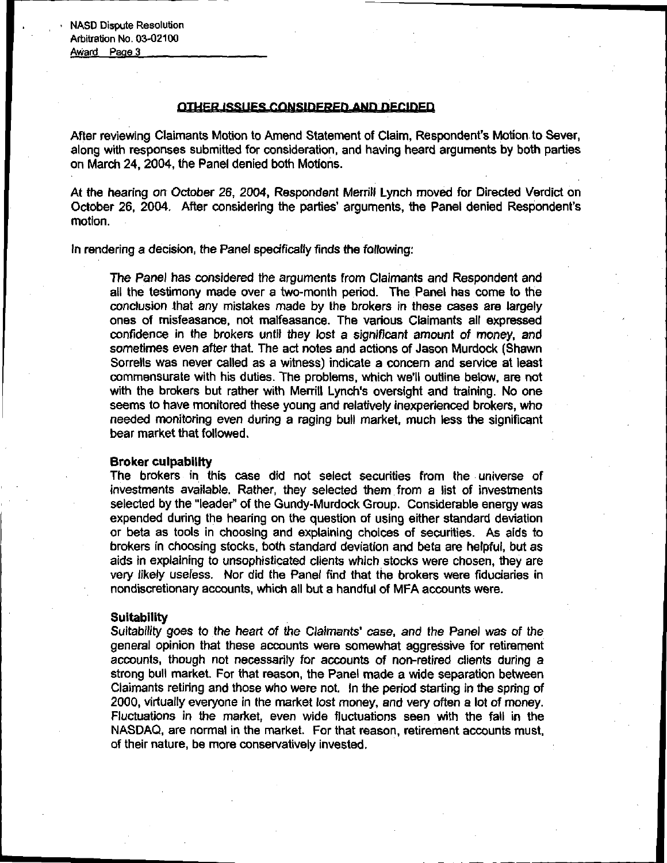## OTHER ISSUES CONSIDERED AND DECIDED

After reviewing Claimants Motion to Amend Statement of Claim, Respondent's Motion to Sever, along with responses submitted for consideration, and having heard arguments by both parties on March 24, 2004, the Panel denied both Motions.

At the hearing on October 26, 2004, Respondent Merrill Lynch moved for Directed Verdict on October 26, 2004. After considering the parties' arguments, the Panel denied Respondent's motion.

In rendering a decision, the Panel specifically finds the following:

The Panel has considered the arguments from Claimants and Respondent and all the testimony made over a two-month period. The Panel has come to the conclusion that any mistakes made by the brokers in these cases are largely ones of misfeasance, not malfeasance. The various Claimants all expressed confidence in the brokers until they lost a significant amount of money, and sometimes even after that. The act notes and actions of Jason Murdock (Shawn Sorrells was never called as a witness) indicate a concern and service at least commensurate with his duties. The problems, which we'll outline below, are not with the brokers but rather with Merrill Lynch's oversight and training. No one seems to have monitored these young and relatively inexperienced brokers, who needed monitoring even during a raging bull market, much less the significant bear market that followed.

#### Broker culpability

The brokers in this case did not select securities from the universe of investments available. Rather, they selected them from a list of investments selected by the "leader" of the Gundy-Murdock Group. Considerable energy was expended during the hearing on the question of using either standard deviation or beta as tools in choosing and explaining choices of securities. As aids to brokers in choosing stocks, both standard deviation and beta are helpful, but as aids in explaining to unsophisticated clients which stocks were chosen, they are very likely useless. Nor did the Panel find that the brokers were fiduciaries in nondiscretionary accounts, which all but a handful of MFA accounts were.

#### **Suitability**

Suitability goes to the heart of the Claimants' case, and the Panel was of the general opinion that these accounts were somewhat aggressive for retirement accounts, though not necessarily for accounts of non-retired clients during a strong bull market. For that reason, the Panel made a wide separation between Claimants retiring and those who were not. In the period starting in the spring of 2000, virtually everyone in the market lost money, and very often a lot of money. Fluctuations in the market, even wide fluctuations seen with the fall in the NASDAQ, are normal in the market. For that reason, retirement accounts must, of their nature, be more conservatively invested.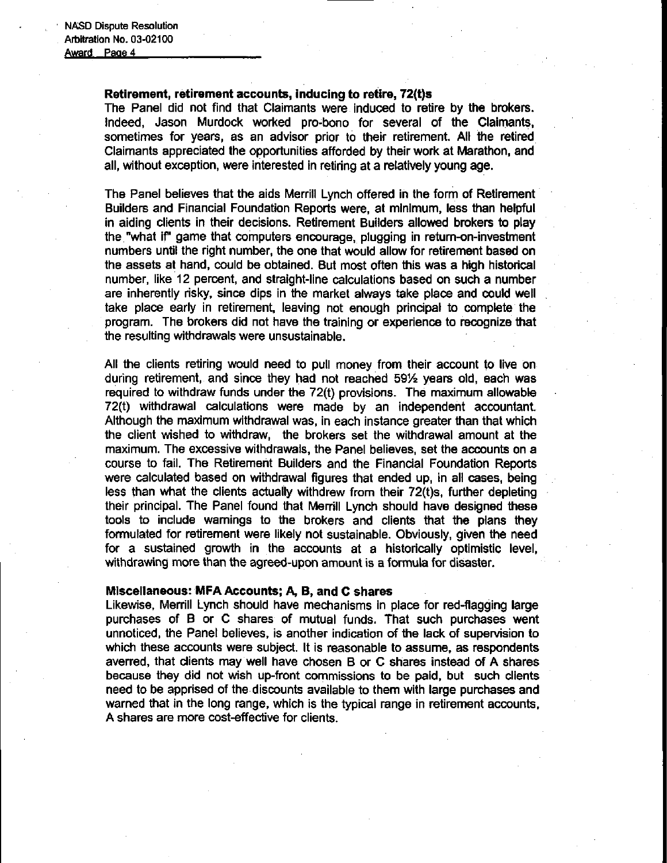#### Retirement, retirement accounts, inducing to retire, 72(t)s

The Panel did not find that Claimants were induced to retire by the brokers, indeed, Jason Murdock worked pro-bono for several of the Claimants, sometimes for years, as an advisor prior to their retirement. All the retired Claimants appreciated the opportunities afforded by their work at Marathon, and all, without exception, were interested in retiring at a relatively young age.

The Panel believes that the aids Merrill Lynch offered in the form of Retirement Builders and Financial Foundation Reports were, at minimum, less than helpful in aiding clients in their decisions. Retirement Builders allowed brokers to play the "what if" game that computers encourage, plugging in return-on-investment numbers until the right number, the one that would allow for retirement based on the assets at hand, could be obtained. But most often this was a high historical number, like 12 percent, and straight-line calculations based on such a number are inherently risky, since dips in the market always take place and could well take place early in retirement, leaving not enough principal to complete the program. The brokers did not have the training or experience to recognize that the resulting withdrawals were unsustainable.

All the clients retiring would need to pull money from their account to live on during retirement, and since they had not reached 591/2 years old, each was required to withdraw funds under the  $72(t)$  provisions. The maximum allowable 72(t) withdrawal calculations were made by an independent accountant. Although the maximum withdrawal was, in each instance greater than that which the client wished to withdraw, the brokers set the withdrawal amount at the maximum. The excessive withdrawals, the Panel believes, set the accounts on a course to fail. The Retirement Builders and the Financial Foundation Reports were calculated based on withdrawal figures that ended up, in all cases, being less than what the clients actually withdrew from their 72(t)s, further depleting their principal. The Panel found that Merrill Lynch should have designed these tools to include warnings to the brokers and clients that the plans they formulated for retirement were likely not sustainable. Obviously, given the need for a sustained growth in the accounts at a historically optimistic level, withdrawing more than the agreed-upon amount is a formula for disaster.

#### Miscellaneous: MFA Accounts; A, B, and C shares

Likewise, Merrill Lynch should have mechanisms in place for red-flagging large purchases of B or C shares of mutual funds. That such purchases went unnoticed, the Panel believes, is another indication of the lack of supervision to which these accounts were subject. It is reasonable to assume, as respondents averred, that clients may well have chosen B or C shares instead of A shares because they did not wish up-front commissions to be paid, but such clients need to be apprised of the discounts available to them with large purchases and warned that in the long range, which is the typical range in retirement accounts, A shares are more cost-effective for clients.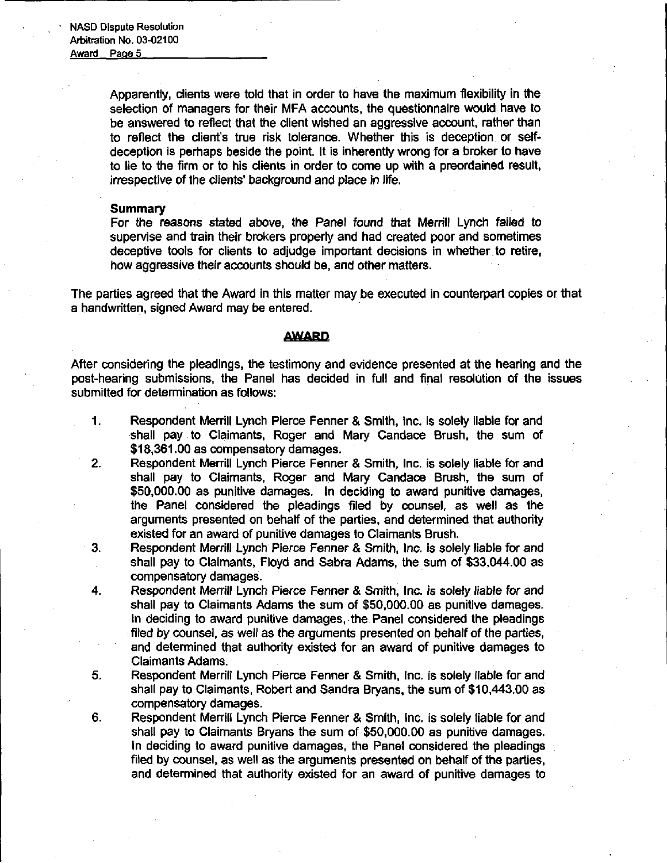> Apparently, clients were told that in order to have the maximum flexibility in the selection of managers for their MFA accounts, the questionnaire would have to be answered to reflect that the client wished an aggressive account, rather than to reflect the client's true risk tolerance. Whether this is deception or selfdeception is perhaps beside the point. It is inherently wrong for a broker to have to lie to the firm or to his clients in order to come up with a preordained result, irrespective of the clients' background and place in life.

#### **Summary**

For the reasons stated above, the Panel found that Merrill Lynch failed to supervise and train their brokers properly and had created poor and sometimes deceptive tools for clients to adjudge important decisions in whether to retire, how aggressive their accounts should be, and other matters.

The parties agreed that the Award in this matter may be executed in counterpart copies or that a handwritten, signed Award may be entered.

## **AWARD**

After considering the pleadings, the testimony and evidence presented at the hearing and the post-hearing submissions, the Panel has decided in full and final resolution of the issues submitted for determination as follows:

- 1. Respondent Merrill Lynch Pierce Fenner & Smith, Inc. is solely liable for and shall pay to Claimants, Roger and Mary Candace Brush, the sum of \$18,361.00 as compensatory damages.
- 2. Respondent Merrill Lynch Pierce Fenner & Smith, Inc. is solely liable for and shall pay to Claimants, Roger and Mary Candace Brush, the sum of \$50,000.00 as punitive damages. In deciding to award punitive damages, the Panel considered the pleadings filed by counsel, as well as the arguments presented on behalf of the parties, and determined that authority existed for an award of punitive damages to Claimants Brush.
- 3. Respondent Merrill Lynch Pierce Fenner & Smith, Inc. is solely liable for and shall pay to Claimants, Floyd and Sabra Adams, the sum of \$33,044.00 as compensatory damages.
- 4. Respondent Merrill Lynch Pierce Fenner & Smith, Inc. is solely liable for and shall pay to Claimants Adams the sum of \$50,000.00 as punitive damages. In deciding to award punitive damages, the Panel considered the pleadings filed by counsel, as well as the arguments presented on behalf of the parties, and determined that authority existed for an award of punitive damages to Claimants Adams.
- 5. Respondent Merrill Lynch Pierce Fenner & Smith, Inc. is solely liable for and shall pay to Claimants, Robert and Sandra Bryans, the sum of \$10,443.00 as compensatory damages.
- 6. Respondent Merrill Lynch Pierce Fenner & Smith, Inc. is solely liable for and shall pay to Claimants Bryans the sum of \$50,000.00 as punitive damages. In deciding to award punitive damages, the Panel considered the pleadings filed by counsel, as well as the arguments presented on behalf of the parties, and determined that authority existed for an award of punitive damages to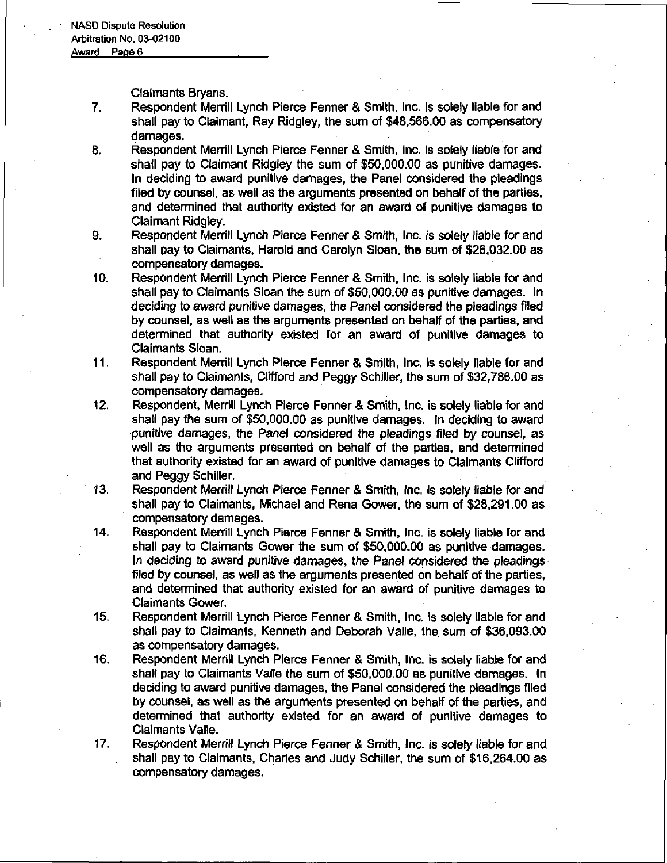Claimants Bryans.

- 7. Respondent Merrill Lynch Pierce Fenner & Smith, Inc. is solely liable for and shall pay to Claimant, Ray Ridgley, the sum of \$48,566.00 as compensatory damages.
- 8. Respondent Merrill Lynch Pierce Fenner & Smith, Inc. is solely liable for and shall pay to Claimant Ridgley the sum of \$50,000.00 as punitive damages. In deciding to award punitive damages, the Panel considered the pleadings filed by counsel, as well as the arguments presented on behalf of the parties, and determined that authority existed for an award of punitive damages to Claimant Ridgley.
- 9. Respondent Merrill Lynch Pierce Fenner & Smith, Inc. is solely liable for and shall pay to Claimants, Harold and Carolyn Sloan, the sum of \$26,032.00 as compensatory damages.
- 10. Respondent Merrill Lynch Pierce Fenner & Smith, Inc. is solely liable for and shall pay to Claimants Sloan the sum of \$50,000.00 as punitive damages. In deciding to award punitive damages, the Panel considered the pleadings filed by counsel, as well as the arguments presented on behalf of the parties, and determined that authority existed for an award of punitive damages to Claimants Sloan.
- 11. Respondent Merrill Lynch Pierce Fenner & Smith, Inc. is solely liable for and shall pay to Claimants, Clifford and Peggy Schiller, the sum of \$32,786.00 as compensatory damages.
- 12. Respondent, Merrill Lynch Pierce Fenner & Smith, Inc. is solely liable for and shall pay the sum of \$50,000.00 as punitive damages. In deciding to award punitive damages, the Panel considered the pleadings filed by counsel, as well as the arguments presented on behalf of the parties, and determined that authority existed for an award of punitive damages to Claimants Clifford and Peggy Schiller.
- 13. Respondent Merrill Lynch Pierce Fenner & Smith, Inc. is solely liable for and shall pay to Claimants, Michael and Rena Gower, the sum of \$28,291.00 as compensatory damages.
- 14. Respondent Merrill Lynch Pierce Fenner & Smith, Inc. is solely liable for and shall pay to Claimants Gower the sum of \$50,000.00 as punitive damages. In deciding to award punitive damages, the Panel considered the pleadings filed by counsel, as well as the arguments presented on behalf of the parties, and determined that authority existed for an award of punitive damages to Claimants Gower,
- 15. Respondent Merrill Lynch Pierce Fenner & Smith, Inc. is solely liable for and shall pay to Claimants, Kenneth and Deborah Valle, the sum of \$36,093.00 as compensatory damages.
- 16. Respondent Merrill Lynch Pierce Fenner & Smith, Inc. is solely liable for and shall pay to Claimants Valle the sum of \$50,000.00 as punitive damages. In deciding to award punitive damages, the Panel considered the pleadings filed by counsel, as well as the arguments presented on behalf of the parties, and determined that authority existed for an award of punitive damages to Claimants Valle.
- 17. Respondent Merrill Lynch Pierce Fenner & Smith, Inc. is solely liable for and shall pay to Claimants, Charles and Judy Schiller, the sum of \$16,264.00 as compensatory damages.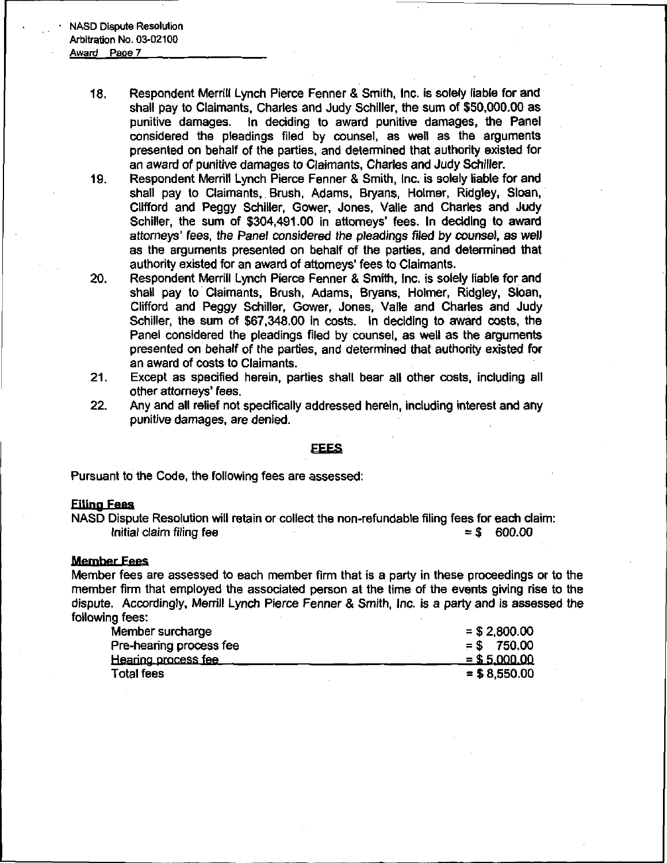- 18. Respondent Merrill Lynch Pierce Fenner & Smith, Inc. is solely liable for and shall pay to Claimants, Charles and Judy Schiller, the sum of \$50,000.00 as punitive damages. In deciding to award punitive damages, the Panel considered the pleadings filed by counsel, as well as the arguments presented on behalf of the parties, and determined that authority existed for an award of punitive damages to Claimants, Charles and Judy Schiller.
- 19. Respondent Merrill Lynch Pierce Fenner & Smith, Inc. is solely liable for and shall pay to Claimants, Brush, Adams, Bryans, Holmer, Ridgley, Sloan, Clifford and Peggy Schiller, Gower, Jones, Valle and Charles and Judy Schiller, the sum of \$304,491.00 in attorneys' fees. In deciding to award attorneys' fees, the Panel considered the pleadings filed by counsel, as well as the arguments presented on behalf of the parties, and determined that authority existed for an award of attorneys' fees to Claimants.
- 20. Respondent Merrill Lynch Pierce Fenner & Smith, Inc. is solely liable for and shall pay to Claimants, Brush, Adams, Bryans, Holmer, Ridgley, Sloan, Clifford and Peggy Schiller, Gower, Jones, Valle and Charles and Judy Schiller, the sum of \$67,348.00 in costs. In deciding to award costs, the Panel considered the pleadings filed by counsel, as well as the arguments presented on behalf of the parties, and determined that authority existed for an award of costs to Claimants.
- 21. Except as specified herein, parties shall bear all other costs, including all other attorneys' fees.
- 22. Any and all relief not specifically addressed herein, including interest and any punitive damages, are denied.

#### EEES

Pursuant to the Code, the following fees are assessed:

## Filing Fees

NASD Dispute Resolution will retain or collect the non-refundable filing fees for each claim: Initial claim filing fee  $=$  \$ 600.00

#### Member Fees

Member fees are assessed to each member firm that is a party in these proceedings or to the member firm that employed the associated person at the time of the events giving rise to the dispute. Accordingly, Merrill Lynch Pierce Fenner & Smith, Inc. is a party and is assessed the following fees:

| Member surcharge           | $=$ \$ 2,800.00 |
|----------------------------|-----------------|
| Pre-hearing process fee    | $=$ \$ 750.00   |
| <u>Hearing process fee</u> | $= $5,000.00$   |
| <b>Total fees</b>          | $= $8,550.00$   |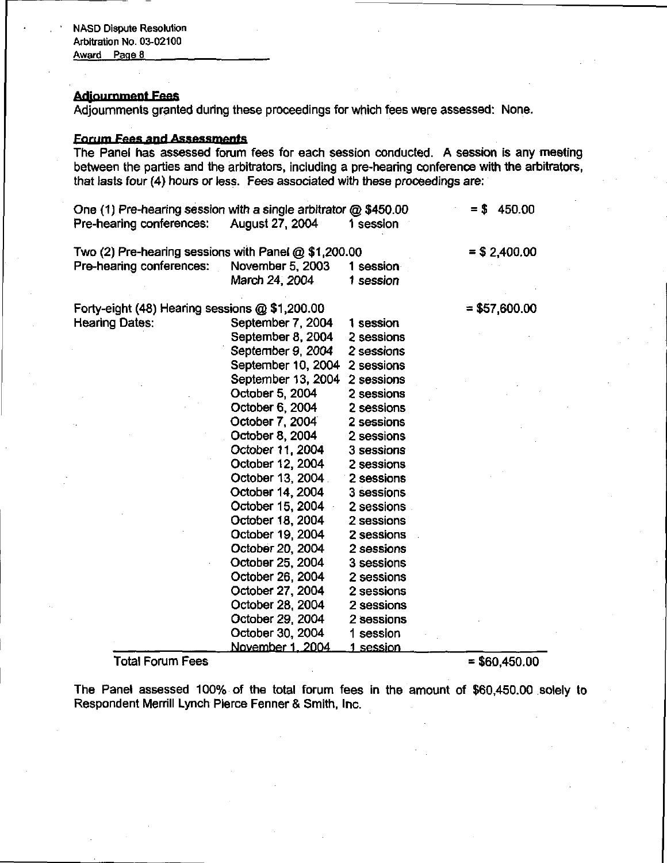## **Adjournment Fees**

Adjournments granted during these proceedings for which fees were assessed: None.

# **Forum Fees and Assessments**

The Panel has assessed forum fees for each session conducted. A session is any meeting between the parties and the arbitrators, including a pre-hearing conference with the arbitrators, that lasts four (4) hours or less. Fees associated with these proceedings are:

|                                                                                    | August 27, 2004                                                                                                                                                                                                                                                                                                                                                                                                                                                                                        | 1 session                                                                                                                                                                                                                                                                                                                                 |                 |
|------------------------------------------------------------------------------------|--------------------------------------------------------------------------------------------------------------------------------------------------------------------------------------------------------------------------------------------------------------------------------------------------------------------------------------------------------------------------------------------------------------------------------------------------------------------------------------------------------|-------------------------------------------------------------------------------------------------------------------------------------------------------------------------------------------------------------------------------------------------------------------------------------------------------------------------------------------|-----------------|
| Two (2) Pre-hearing sessions with Panel $@$ \$1,200.00<br>Pre-hearing conferences: | November 5, 2003<br>March 24, 2004                                                                                                                                                                                                                                                                                                                                                                                                                                                                     | 1 session<br>1 session                                                                                                                                                                                                                                                                                                                    | $=$ \$ 2,400.00 |
| Forty-eight (48) Hearing sessions @ \$1,200.00<br><b>Hearing Dates:</b>            | September 7, 2004<br>September 8, 2004<br>September 9, 2004<br>September 10, 2004<br>September 13, 2004<br>October 5, 2004<br>October 6, 2004<br>October 7, 2004<br>October 8, 2004<br>October 11, 2004<br>October 12, 2004<br>October 13, 2004<br>October 14, 2004<br>October 15, 2004<br>October 18, 2004<br>October 19, 2004<br>October 20, 2004<br>October 25, 2004<br>October 26, 2004<br>October 27, 2004<br>October 28, 2004<br>October 29, 2004<br>October 30, 2004<br><u>November 1. 2004</u> | 1 session<br>2 sessions<br>2 sessions<br>2 sessions<br>2 sessions<br>2 sessions<br>2 sessions<br>2 sessions<br>2 sessions<br>3 sessions<br>2 sessions<br>2 sessions<br>3 sessions<br>2 sessions<br>2 sessions<br>2 sessions<br>2 sessions<br>3 sessions<br>2 sessions<br>2 sessions<br>2 sessions<br>2 sessions<br>1 session<br>1 session | $= $57,600.00$  |

#### $\text{Total Forum Fees} = \$60,450.00$

The Panel assessed 100% of the total forum fees in the amount of \$60,450.00 solely to Respondent Merrill Lynch Pierce Fenner & Smith, Inc.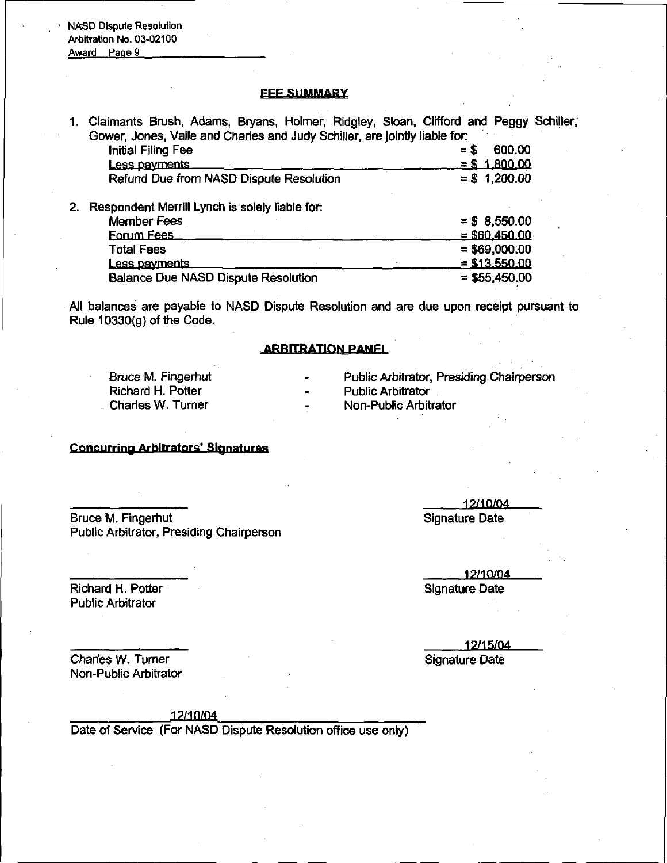NASD Dispute Resolution Arbitration No. 03-02100

Award Page 9

#### **FEE SUMMARY**

1. Claimants Brush, Adams, Bryans, Holmer, Ridgley, Sloan, Clifford and Peggy Schijler, Gower, Jones, Valle and Charles and Judy Schiller, are jointly liable for

| 1. Claimants Brush, Adams, Bryans, Holmer, Ridgley, Sloan, Clifford and Peggy S |                      |
|---------------------------------------------------------------------------------|----------------------|
| Gower, Jones, Valle and Charles and Judy Schiller, are jointly liable for:      |                      |
| <b>Initial Filing Fee</b>                                                       | 600.00<br>$=$ S      |
| Less payments                                                                   | <u>= \$ 1.800.00</u> |
| Refund Due from NASD Dispute Resolution                                         | $= $1,200.00$        |
| Respondent Merrill Lynch is solely liable for:                                  |                      |
| Member Fees                                                                     | $= $8,550.00$        |
| Forum Fees                                                                      | $=$ \$60.450.00      |
| <b>Total Fees</b>                                                               | $=$ \$69,000.00      |
|                                                                                 |                      |

Less payments  $=$  \$13,550.00<br>= \$55,450.00 Balance Due NASD Dispute Resolution

All balances are payable to NASD Dispute Resolution and are due upon receipt pursuant to Rule 10330(g) of the Code.

# **ARBITRATION PANEL**

Bruce M. Fingerhut Richard H. Potter Charles W. Turner

Public Arbitrator, Presiding Chairperson

Public Arbitrator

Non-Public Arbitrator

## Concurring Arbitrators'

Bruce M. Fingerhut Public Arbitrator, Presiding Chairperson

19/10/04 Signature Date

Richard H. Potter Public Arbitrator

12/10/04 Signature Date

19/15/04 Signature Date

Charles W. Turner Non-Public Arbitrator

12/10/04

Date of Service (For NASD Dispute Resolution office use only)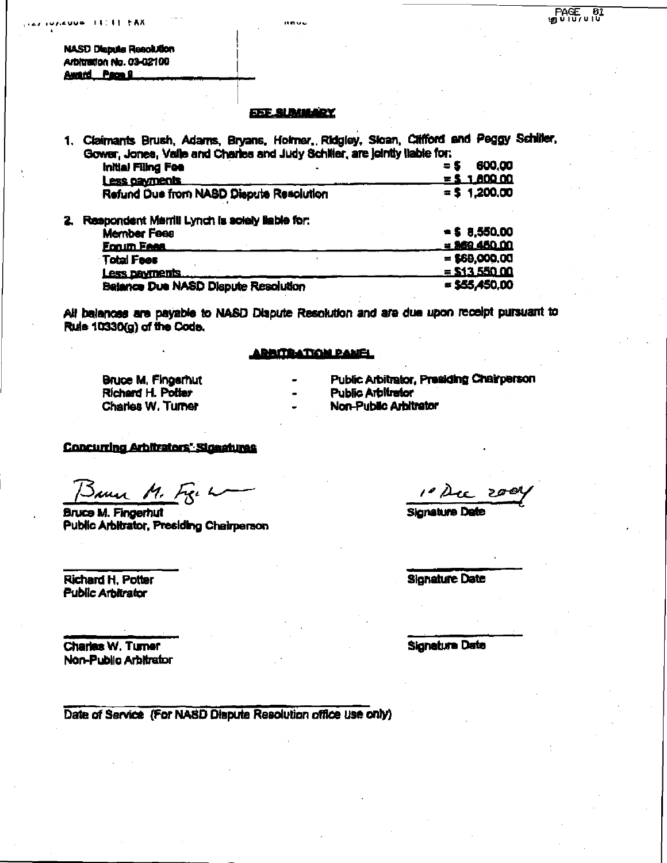NASD Dispute ReaoUdon<br>Arbitration No. 03-02100 Award Page 9

**LUZZUUS ILLIE FAX** 

#### **EEE SUMMARY**

iteru u

1. Claimants Brush, Adams, Bryans, Holmer, Ridgley, Sloan, Cilifford and Peggy Schiller, Gower, Jones, Vafle and Charles and Judy SchNter, are Jointly liable for.

| Initial Filing Fee                                              |  | $= 5$ | 600.00<br>$-5.180000$ |
|-----------------------------------------------------------------|--|-------|-----------------------|
| <b>Less cayments</b><br>Refund Due from NASD Dispute Resolution |  |       | $=$ \$ 1,200,00       |

2. Respondent Marrill Lynch is solely liable for:

| <b>Member Fees</b>                         | $-5.850.00$     |
|--------------------------------------------|-----------------|
| <b>Forum Fees</b>                          | $= 969 450.00$  |
| <b>Total Fees</b>                          | $= $69,000,00$  |
| Less payments                              | $=$ \$13,550.00 |
| <b>Balance Due NASD Dispute Resolution</b> | $=$ \$55,450.00 |

All balances are payable to NASD Dispute Resolution and are due upon receipt pursuant to Rule 10330(g) of the Code.

## **ARRITRATION PANEL**

Richard H. Potter<br>Charles W. Turner

Bruce M. Fingerhut - Public Arbitrator, Presiding Chairperson<br>Richard H. Polter - - Public Arbitrator

Non-Public Arbitrator

**Concurring Arbitrators' Signatures** 

Same M. Fig. L

Bruce M. Fingerhut Signature Date Public Arbitrator. Presiding Chalrperaon

Richard H. Potter Signature Date Public Arbitrator

 $10 \, \text{Mg}$  2001

Chartas W. Turner Signature Date Signature Date Non-Public Arbitrator

Date of Service (For NASD Dispute Resolution office use only)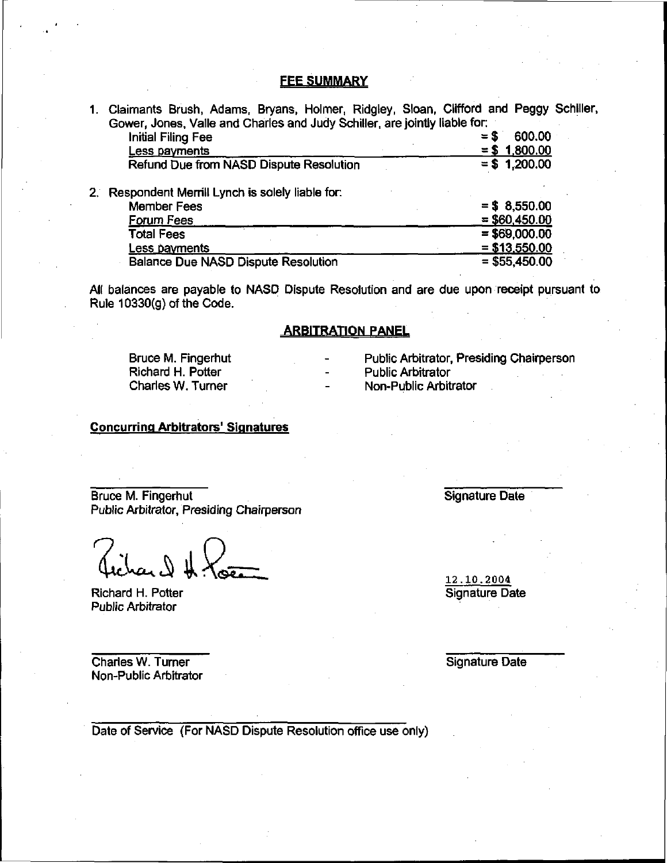# **FEE SUMMARY**

|             | 1. Claimants Brush, Adams, Bryans, Holmer, Ridgley, Sloan, Clifford and Peggy Schiller, |                 |  |
|-------------|-----------------------------------------------------------------------------------------|-----------------|--|
|             | Gower, Jones, Valle and Charles and Judy Schiller, are jointly liable for:              |                 |  |
|             | <b>Initial Filing Fee</b>                                                               | 600.00<br>$= S$ |  |
|             | Less payments                                                                           | $= $ 1,800.00$  |  |
|             | Refund Due from NASD Dispute Resolution                                                 | $= $ 1,200.00$  |  |
| $2^{\circ}$ | Respondent Merrill Lynch is solely liable for:                                          |                 |  |
|             | <b>Member Fees</b>                                                                      | $= $8,550.00$   |  |
|             | Forum Fees                                                                              | $=$ \$60,450.00 |  |
|             | <b>Total Fees</b>                                                                       | $= $69,000.00$  |  |
|             | <u>Less payments</u>                                                                    | $= $13,550.00$  |  |
|             | <b>Balance Due NASD Dispute Resolution</b>                                              | $= $55,450.00$  |  |
|             |                                                                                         |                 |  |

All balances are payable to NASD Dispute Resolution and are due upon receipt pursuant to Rule 10330(g) of the Code.

# ARBITRATION PANEL

Bruce M. Fingerhut **- Public Arbitrator, Presiding Chairperson**<br>Richard H. Potter **Chairpean Arbitrator** - Public Arbitrator Richard H. Potter<br>Charles W. Turner

- 
- 
- **Non-Public Arbitrator**

# Concurring Arbitrators' Signatures

Bruce M. Fingerhut Signature Date Public Arbitrator, Presiding Chairperson

Richard H. Potter Signature Date Public Arbitrator

**Charles W. Turner Charles W. Turner Signature Date** Non-Public Arbitrator

12.10.2004

Date of Service (For NASD Dispute Resolution office use only)